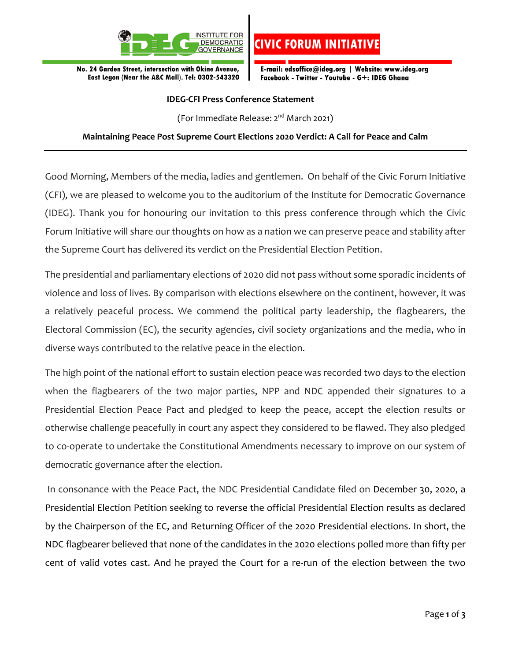

No. 24 Garden Street, intersection with Okine Avenue, East Legon (Near the A&C Mall). Tel: 0302-543320 E-mail: edsoffice@ideg.org | Website: www.ideg.org Facebook - Twitter - Youtube - G+: IDEG Ghana

**CIVIC FORUM INITIATIV** 

## **IDEG-CFI Press Conference Statement**

(For Immediate Release: 2 nd March 2021)

## **Maintaining Peace Post Supreme Court Elections 2020 Verdict: A Call for Peace and Calm**

Good Morning, Members of the media, ladies and gentlemen. On behalf of the Civic Forum Initiative (CFI), we are pleased to welcome you to the auditorium of the Institute for Democratic Governance (IDEG). Thank you for honouring our invitation to this press conference through which the Civic Forum Initiative will share our thoughts on how as a nation we can preserve peace and stability after the Supreme Court has delivered its verdict on the Presidential Election Petition.

The presidential and parliamentary elections of 2020 did not pass without some sporadic incidents of violence and loss of lives. By comparison with elections elsewhere on the continent, however, it was a relatively peaceful process. We commend the political party leadership, the flagbearers, the Electoral Commission (EC), the security agencies, civil society organizations and the media, who in diverse ways contributed to the relative peace in the election.

The high point of the national effort to sustain election peace was recorded two days to the election when the flagbearers of the two major parties, NPP and NDC appended their signatures to a Presidential Election Peace Pact and pledged to keep the peace, accept the election results or otherwise challenge peacefully in court any aspect they considered to be flawed. They also pledged to co-operate to undertake the Constitutional Amendments necessary to improve on our system of democratic governance after the election.

In consonance with the Peace Pact, the NDC Presidential Candidate filed on December 30, 2020, a Presidential Election Petition seeking to reverse the official Presidential Election results as declared by the Chairperson of the EC, and Returning Officer of the 2020 Presidential elections. In short, the NDC flagbearer believed that none of the candidates in the 2020 elections polled more than fifty per cent of valid votes cast. And he prayed the Court for a re-run of the election between the two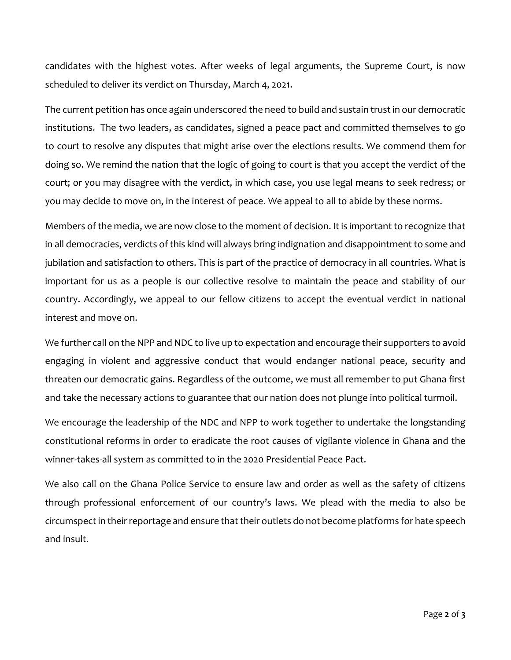candidates with the highest votes. After weeks of legal arguments, the Supreme Court, is now scheduled to deliver its verdict on Thursday, March 4, 2021.

The current petition has once again underscored the need to build and sustain trust in our democratic institutions. The two leaders, as candidates, signed a peace pact and committed themselves to go to court to resolve any disputes that might arise over the elections results. We commend them for doing so. We remind the nation that the logic of going to court is that you accept the verdict of the court; or you may disagree with the verdict, in which case, you use legal means to seek redress; or you may decide to move on, in the interest of peace. We appeal to all to abide by these norms.

Members of the media, we are now close to the moment of decision. It is important to recognize that in all democracies, verdicts of this kind will always bring indignation and disappointment to some and jubilation and satisfaction to others. This is part of the practice of democracy in all countries. What is important for us as a people is our collective resolve to maintain the peace and stability of our country. Accordingly, we appeal to our fellow citizens to accept the eventual verdict in national interest and move on.

We further call on the NPP and NDC to live up to expectation and encourage their supporters to avoid engaging in violent and aggressive conduct that would endanger national peace, security and threaten our democratic gains. Regardless of the outcome, we must all remember to put Ghana first and take the necessary actions to guarantee that our nation does not plunge into political turmoil.

We encourage the leadership of the NDC and NPP to work together to undertake the longstanding constitutional reforms in order to eradicate the root causes of vigilante violence in Ghana and the winner-takes-all system as committed to in the 2020 Presidential Peace Pact.

We also call on the Ghana Police Service to ensure law and order as well as the safety of citizens through professional enforcement of our country's laws. We plead with the media to also be circumspect in their reportage and ensure that their outlets do not become platforms for hate speech and insult.